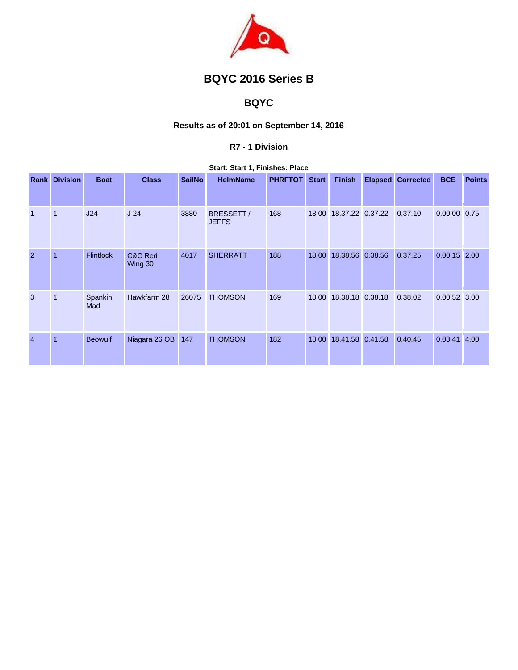

# **BQYC 2016 Series B**

## **BQYC**

## **Results as of 20:01 on September 14, 2016**

#### **R7 - 1 Division**

#### **Start: Start 1, Finishes: Place**

|                | <b>Rank Division</b> | <b>Boat</b>      | <b>Class</b>       | <b>SailNo</b> | <b>HelmName</b>            | <b>PHRFTOT</b> | <b>Start</b> | <b>Finish</b>    | <b>Elapsed</b> | <b>Corrected</b> | <b>BCE</b>     | <b>Points</b> |
|----------------|----------------------|------------------|--------------------|---------------|----------------------------|----------------|--------------|------------------|----------------|------------------|----------------|---------------|
| $\mathbf{1}$   | $\mathbf{1}$         | J24              | J <sub>24</sub>    | 3880          | BRESSETT /<br><b>JEFFS</b> | 168            | 18.00        | 18.37.22 0.37.22 |                | 0.37.10          | 0.00.00 0.75   |               |
| $\overline{2}$ | $\overline{1}$       | <b>Flintlock</b> | C&C Red<br>Wing 30 | 4017          | <b>SHERRATT</b>            | 188            | 18.00        | 18.38.56 0.38.56 |                | 0.37.25          | $0.00.15$ 2.00 |               |
| 3              | $\mathbf 1$          | Spankin<br>Mad   | Hawkfarm 28        | 26075         | <b>THOMSON</b>             | 169            | 18.00        | 18.38.18 0.38.18 |                | 0.38.02          | $0.00.52$ 3.00 |               |
| $\overline{4}$ | $\overline{1}$       | <b>Beowulf</b>   | Niagara 26 OB      | 147           | <b>THOMSON</b>             | 182            | 18.00        | 18.41.58 0.41.58 |                | 0.40.45          | 0.03.41        | 4.00          |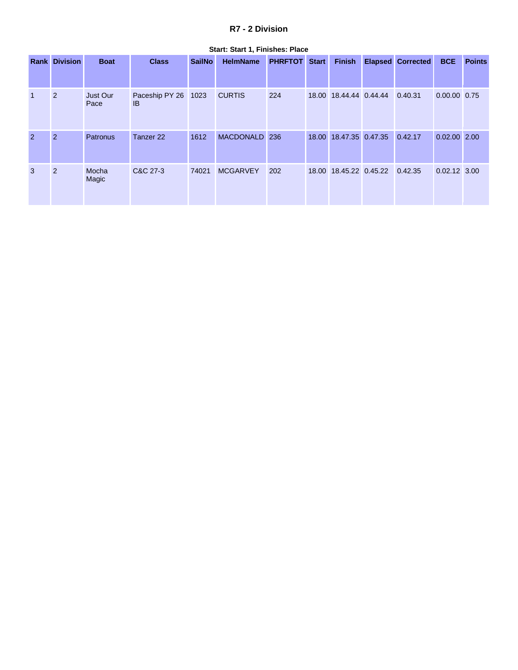### **R7 - 2 Division**

|                |                      |                  |                            |               | Start: Start T, Finishes: Flace |                |              |                                |                          |                |               |
|----------------|----------------------|------------------|----------------------------|---------------|---------------------------------|----------------|--------------|--------------------------------|--------------------------|----------------|---------------|
|                | <b>Rank Division</b> | <b>Boat</b>      | <b>Class</b>               | <b>SailNo</b> | <b>HelmName</b>                 | <b>PHRFTOT</b> | <b>Start</b> | <b>Finish</b>                  | <b>Elapsed Corrected</b> | <b>BCE</b>     | <b>Points</b> |
|                | 2                    | Just Our<br>Pace | Paceship PY 26 1023<br>IB. |               | <b>CURTIS</b>                   | 224            |              | 18.00 18.44.44 0.44.44 0.40.31 |                          | 0.00.00 0.75   |               |
| $\overline{2}$ | $\overline{2}$       | <b>Patronus</b>  | Tanzer <sub>22</sub>       | 1612          | MACDONALD 236                   |                |              | 18.00 18.47.35 0.47.35         | 0.42.17                  | $0.02.00$ 2.00 |               |
| 3              | 2                    | Mocha<br>Magic   | C&C 27-3                   | 74021         | <b>MCGARVEY</b>                 | 202            |              | 18.00 18.45.22 0.45.22 0.42.35 |                          | 0.02.12 3.00   |               |

#### **Start: Start 1, Finishes: Place**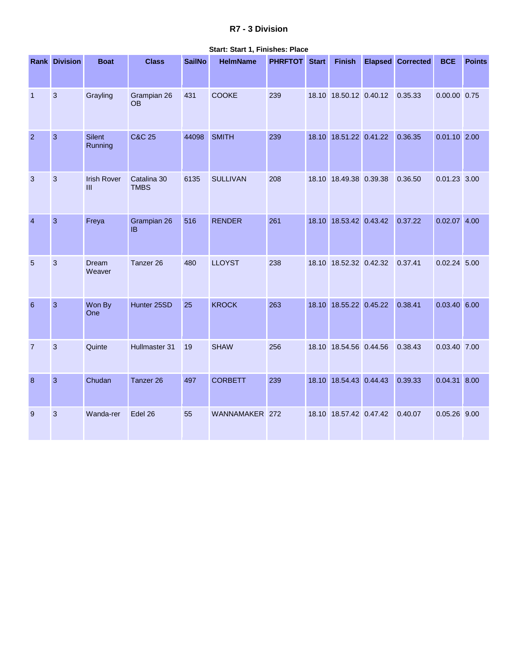### **R7 - 3 Division**

|                  | <b>Rank Division</b> | <b>Boat</b>               | <b>Class</b>               | <b>SailNo</b> | <b>HelmName</b> | <b>PHRFTOT</b> Start | <b>Finish</b>          | <b>Elapsed Corrected</b> | <b>BCE</b>     | <b>Points</b> |
|------------------|----------------------|---------------------------|----------------------------|---------------|-----------------|----------------------|------------------------|--------------------------|----------------|---------------|
| $\overline{1}$   | 3                    | Grayling                  | Grampian 26<br><b>OB</b>   | 431           | <b>COOKE</b>    | 239                  | 18.10 18.50.12 0.40.12 | 0.35.33                  | 0.00.00 0.75   |               |
| $\overline{2}$   | $\overline{3}$       | <b>Silent</b><br>Running  | <b>C&amp;C 25</b>          | 44098         | <b>SMITH</b>    | 239                  | 18.10 18.51.22 0.41.22 | 0.36.35                  | $0.01.10$ 2.00 |               |
| 3                | 3                    | <b>Irish Rover</b><br>III | Catalina 30<br><b>TMBS</b> | 6135          | <b>SULLIVAN</b> | 208                  | 18.10 18.49.38 0.39.38 | 0.36.50                  | $0.01.23$ 3.00 |               |
| $\overline{4}$   | 3                    | Freya                     | Grampian 26<br><b>IB</b>   | 516           | <b>RENDER</b>   | 261                  | 18.10 18.53.42 0.43.42 | 0.37.22                  | $0.02.07$ 4.00 |               |
| 5                | 3                    | Dream<br>Weaver           | Tanzer 26                  | 480           | <b>LLOYST</b>   | 238                  | 18.10 18.52.32 0.42.32 | 0.37.41                  | $0.02.24$ 5.00 |               |
| 6                | $\overline{3}$       | Won By<br>One             | Hunter 25SD                | 25            | <b>KROCK</b>    | 263                  | 18.10 18.55.22 0.45.22 | 0.38.41                  | $0.03.40$ 6.00 |               |
| $\overline{7}$   | 3                    | Quinte                    | Hullmaster 31              | 19            | <b>SHAW</b>     | 256                  | 18.10 18.54.56 0.44.56 | 0.38.43                  | 0.03.40 7.00   |               |
| $\boldsymbol{8}$ | 3                    | Chudan                    | Tanzer 26                  | 497           | <b>CORBETT</b>  | 239                  | 18.10 18.54.43 0.44.43 | 0.39.33                  | $0.04.31$ 8.00 |               |
| 9                | 3                    | Wanda-rer                 | Edel 26                    | 55            | WANNAMAKER 272  |                      | 18.10 18.57.42 0.47.42 | 0.40.07                  | 0.05.26 9.00   |               |

#### **Start: Start 1, Finishes: Place**